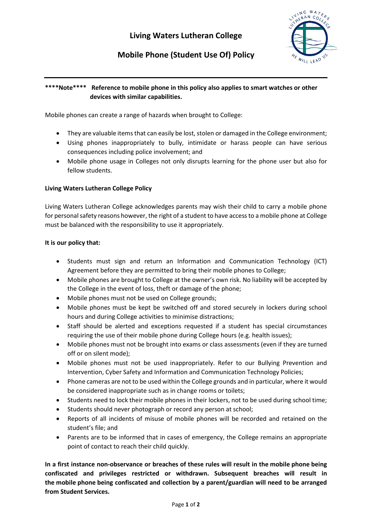

# **Mobile Phone (Student Use Of) Policy**

# **\*\*\*\*Note\*\*\*\* Reference to mobile phone in this policy also applies to smart watches or other devices with similar capabilities.**

Mobile phones can create a range of hazards when brought to College:

- They are valuable items that can easily be lost, stolen or damaged in the College environment;
- Using phones inappropriately to bully, intimidate or harass people can have serious consequences including police involvement; and
- Mobile phone usage in Colleges not only disrupts learning for the phone user but also for fellow students.

## **Living Waters Lutheran College Policy**

Living Waters Lutheran College acknowledges parents may wish their child to carry a mobile phone for personal safety reasons however, the right of a student to have access to a mobile phone at College must be balanced with the responsibility to use it appropriately.

## **It is our policy that:**

- Students must sign and return an Information and Communication Technology (ICT) Agreement before they are permitted to bring their mobile phones to College;
- Mobile phones are brought to College at the owner's own risk. No liability will be accepted by the College in the event of loss, theft or damage of the phone;
- Mobile phones must not be used on College grounds;
- Mobile phones must be kept be switched off and stored securely in lockers during school hours and during College activities to minimise distractions;
- Staff should be alerted and exceptions requested if a student has special circumstances requiring the use of their mobile phone during College hours (e.g. health issues);
- Mobile phones must not be brought into exams or class assessments (even if they are turned off or on silent mode);
- Mobile phones must not be used inappropriately. Refer to our Bullying Prevention and Intervention, Cyber Safety and Information and Communication Technology Policies;
- Phone cameras are not to be used within the College grounds and in particular, where it would be considered inappropriate such as in change rooms or toilets;
- Students need to lock their mobile phones in their lockers, not to be used during school time;
- Students should never photograph or record any person at school;
- Reports of all incidents of misuse of mobile phones will be recorded and retained on the student's file; and
- Parents are to be informed that in cases of emergency, the College remains an appropriate point of contact to reach their child quickly.

**[In a first instance non-observance or breaches of these rules will result in the](https://livingwaterslc.cspace.net.au/MobilePhonesStudentUseOf?searchTerms%5B%5D=mobile&searchTerms%5B%5D=phone) mobile phone being [confiscated and privileges restricted or withdrawn. Subsequent breaches will result in](https://livingwaterslc.cspace.net.au/MobilePhonesStudentUseOf?searchTerms%5B%5D=mobile&searchTerms%5B%5D=phone)  the mobile phone [being confiscated and collection by a parent/guardian will need to be arranged](https://livingwaterslc.cspace.net.au/MobilePhonesStudentUseOf?searchTerms%5B%5D=mobile&searchTerms%5B%5D=phone)  [from Student Services.](https://livingwaterslc.cspace.net.au/MobilePhonesStudentUseOf?searchTerms%5B%5D=mobile&searchTerms%5B%5D=phone)**